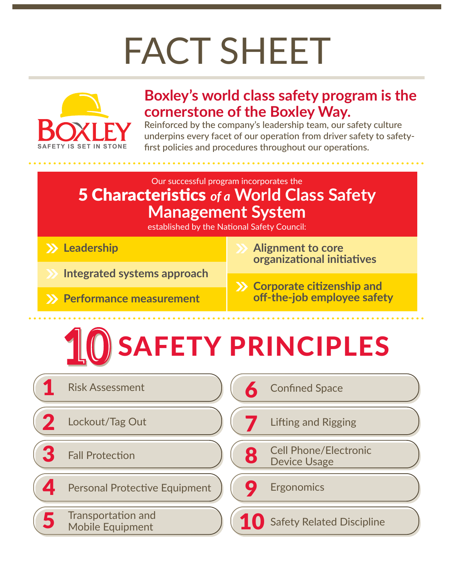# FACT SHEET



## **Boxley's world class safety program is the cornerstone of the Boxley Way.**

Reinforced by the company's leadership team, our safety culture underpins every facet of our operation from driver safety to safetyfirst policies and procedures throughout our operations.

## Our successful program incorporates the 5 Characteristics *of a* **World Class Safety Management System**

established by the National Safety Council:

- **Leadership**
- **Integrated systems approach**
- **Performance measurement**
- **Alignment to core organizational initiatives**
- **Corporate citizenship and off-the-job employee safety**

# SAFETY PRINCIPLES